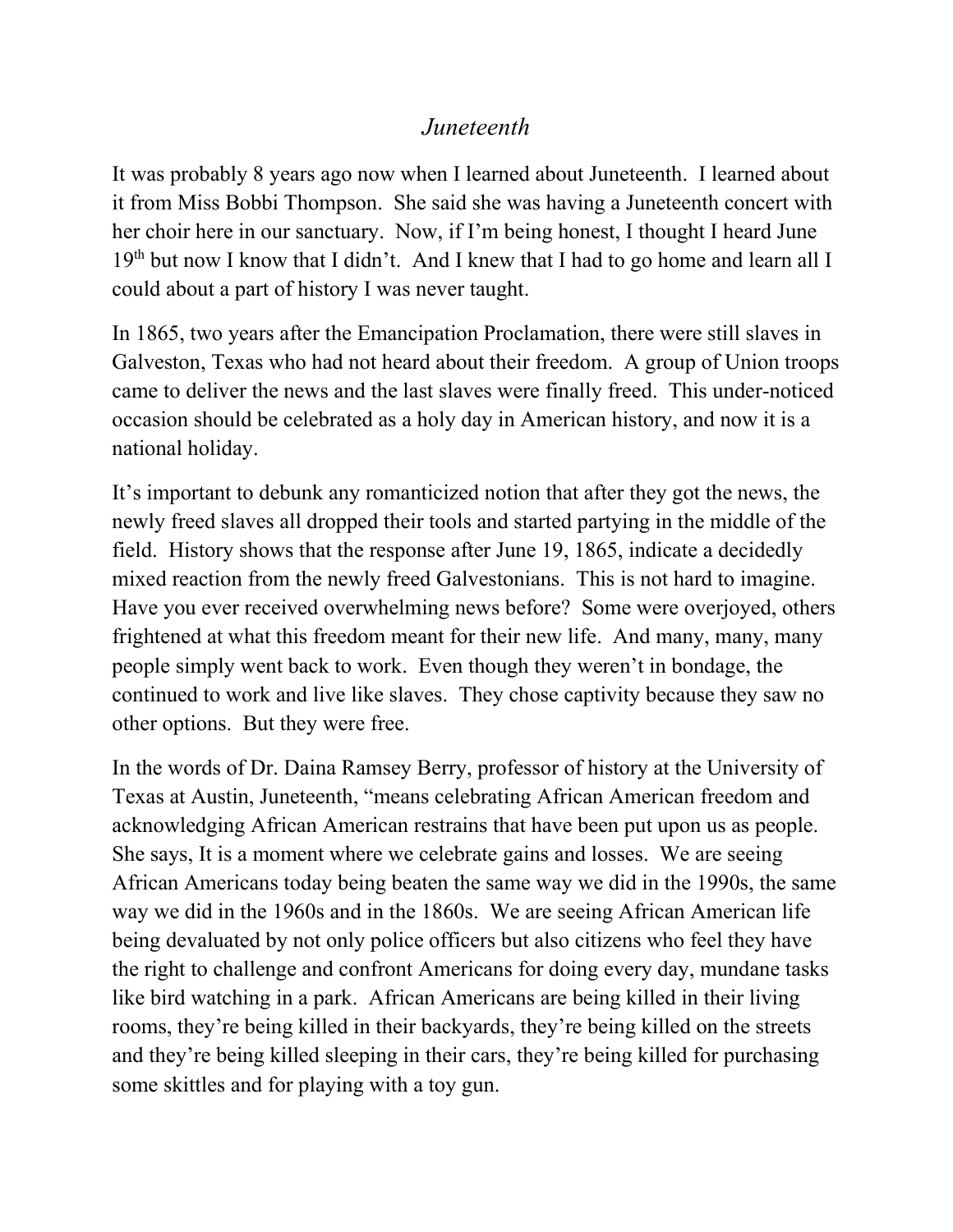## *Juneteenth*

It was probably 8 years ago now when I learned about Juneteenth. I learned about it from Miss Bobbi Thompson. She said she was having a Juneteenth concert with her choir here in our sanctuary. Now, if I'm being honest, I thought I heard June  $19<sup>th</sup>$  but now I know that I didn't. And I knew that I had to go home and learn all I could about a part of history I was never taught.

In 1865, two years after the Emancipation Proclamation, there were still slaves in Galveston, Texas who had not heard about their freedom. A group of Union troops came to deliver the news and the last slaves were finally freed. This under-noticed occasion should be celebrated as a holy day in American history, and now it is a national holiday.

It's important to debunk any romanticized notion that after they got the news, the newly freed slaves all dropped their tools and started partying in the middle of the field. History shows that the response after June 19, 1865, indicate a decidedly mixed reaction from the newly freed Galvestonians. This is not hard to imagine. Have you ever received overwhelming news before? Some were overjoyed, others frightened at what this freedom meant for their new life. And many, many, many people simply went back to work. Even though they weren't in bondage, the continued to work and live like slaves. They chose captivity because they saw no other options. But they were free.

In the words of Dr. Daina Ramsey Berry, professor of history at the University of Texas at Austin, Juneteenth, "means celebrating African American freedom and acknowledging African American restrains that have been put upon us as people. She says, It is a moment where we celebrate gains and losses. We are seeing African Americans today being beaten the same way we did in the 1990s, the same way we did in the 1960s and in the 1860s. We are seeing African American life being devaluated by not only police officers but also citizens who feel they have the right to challenge and confront Americans for doing every day, mundane tasks like bird watching in a park. African Americans are being killed in their living rooms, they're being killed in their backyards, they're being killed on the streets and they're being killed sleeping in their cars, they're being killed for purchasing some skittles and for playing with a toy gun.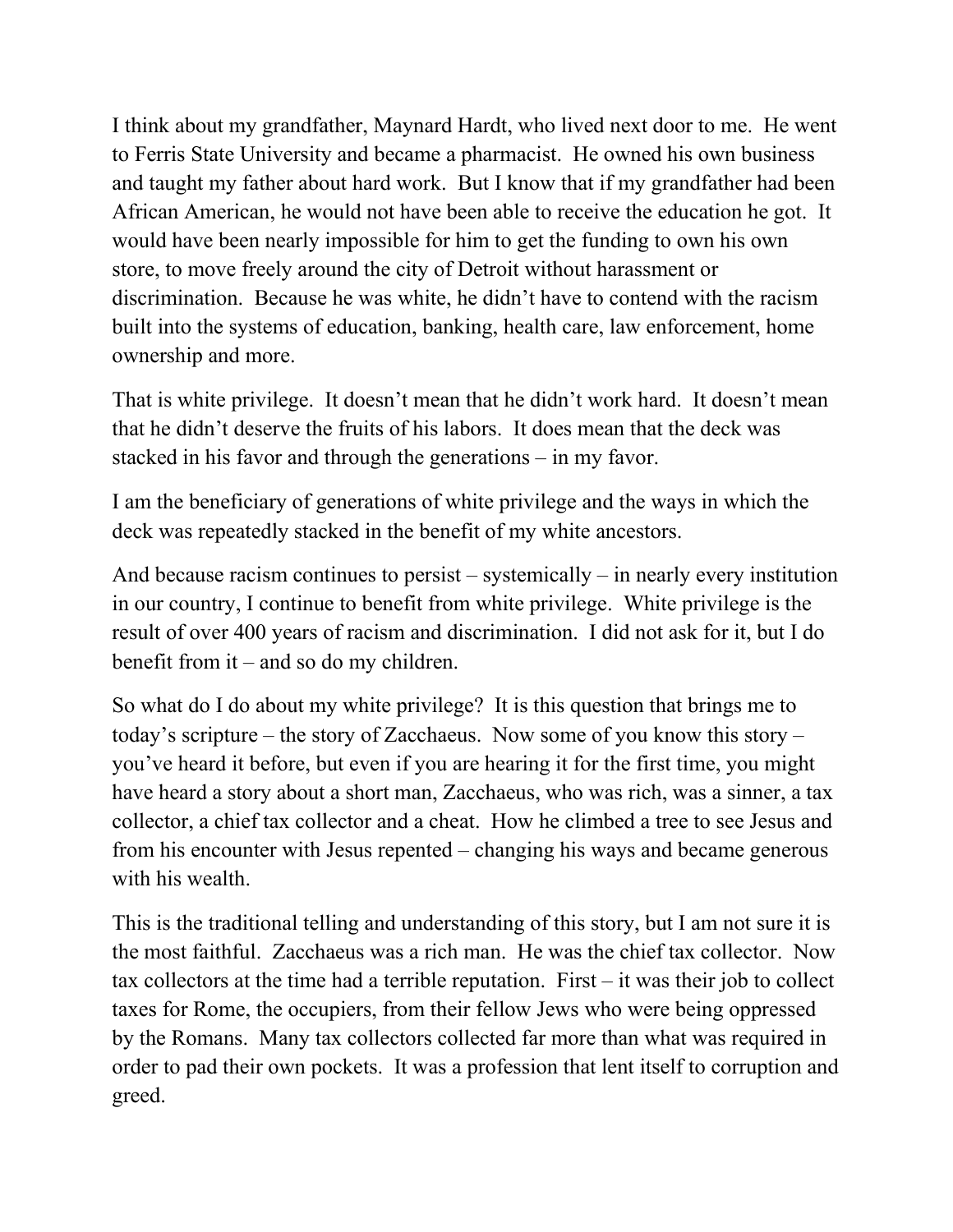I think about my grandfather, Maynard Hardt, who lived next door to me. He went to Ferris State University and became a pharmacist. He owned his own business and taught my father about hard work. But I know that if my grandfather had been African American, he would not have been able to receive the education he got. It would have been nearly impossible for him to get the funding to own his own store, to move freely around the city of Detroit without harassment or discrimination. Because he was white, he didn't have to contend with the racism built into the systems of education, banking, health care, law enforcement, home ownership and more.

That is white privilege. It doesn't mean that he didn't work hard. It doesn't mean that he didn't deserve the fruits of his labors. It does mean that the deck was stacked in his favor and through the generations – in my favor.

I am the beneficiary of generations of white privilege and the ways in which the deck was repeatedly stacked in the benefit of my white ancestors.

And because racism continues to persist – systemically – in nearly every institution in our country, I continue to benefit from white privilege. White privilege is the result of over 400 years of racism and discrimination. I did not ask for it, but I do benefit from it – and so do my children.

So what do I do about my white privilege? It is this question that brings me to today's scripture – the story of Zacchaeus. Now some of you know this story – you've heard it before, but even if you are hearing it for the first time, you might have heard a story about a short man, Zacchaeus, who was rich, was a sinner, a tax collector, a chief tax collector and a cheat. How he climbed a tree to see Jesus and from his encounter with Jesus repented – changing his ways and became generous with his wealth.

This is the traditional telling and understanding of this story, but I am not sure it is the most faithful. Zacchaeus was a rich man. He was the chief tax collector. Now tax collectors at the time had a terrible reputation. First – it was their job to collect taxes for Rome, the occupiers, from their fellow Jews who were being oppressed by the Romans. Many tax collectors collected far more than what was required in order to pad their own pockets. It was a profession that lent itself to corruption and greed.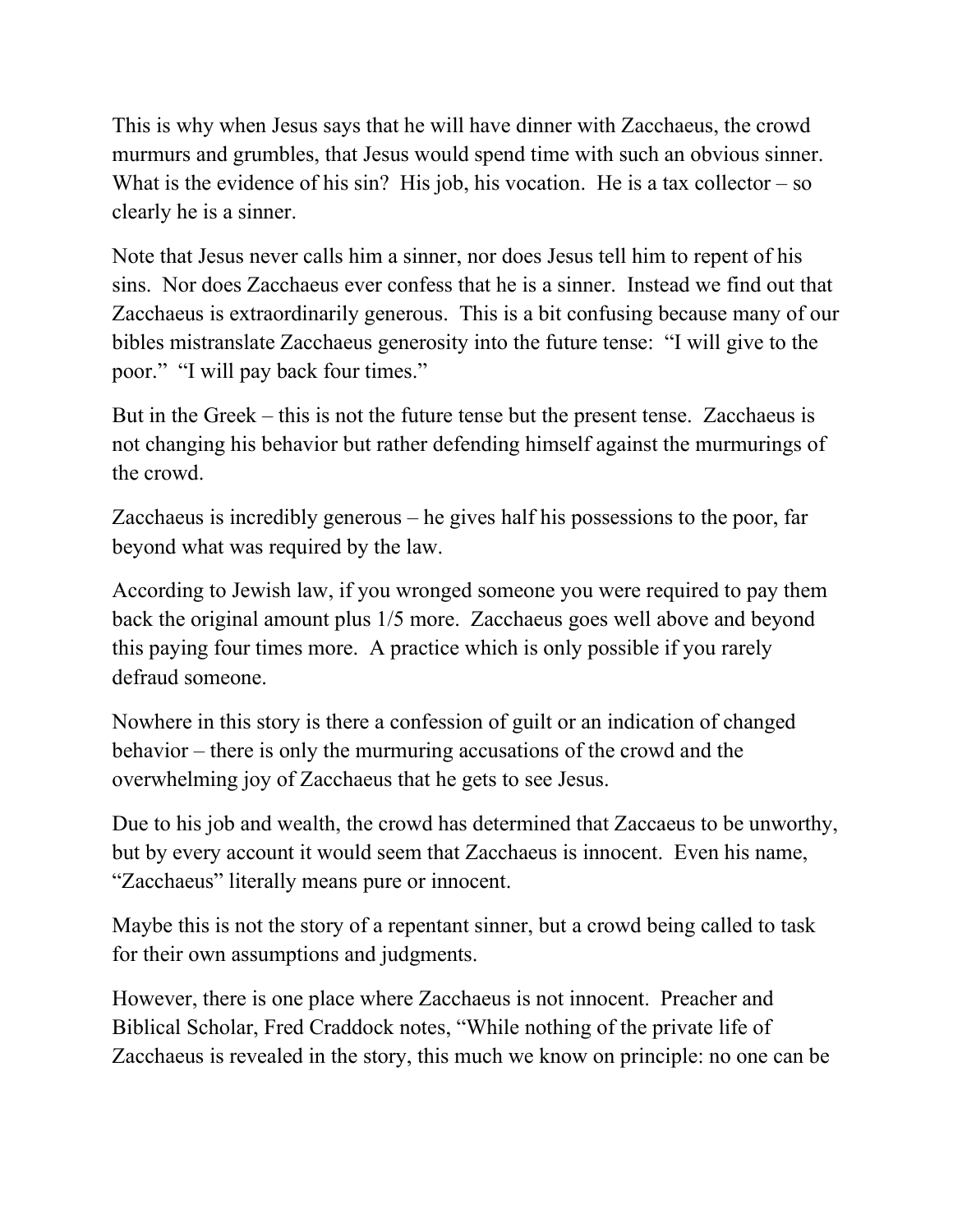This is why when Jesus says that he will have dinner with Zacchaeus, the crowd murmurs and grumbles, that Jesus would spend time with such an obvious sinner. What is the evidence of his sin? His job, his vocation. He is a tax collector  $-$  so clearly he is a sinner.

Note that Jesus never calls him a sinner, nor does Jesus tell him to repent of his sins. Nor does Zacchaeus ever confess that he is a sinner. Instead we find out that Zacchaeus is extraordinarily generous. This is a bit confusing because many of our bibles mistranslate Zacchaeus generosity into the future tense: "I will give to the poor." "I will pay back four times."

But in the Greek – this is not the future tense but the present tense. Zacchaeus is not changing his behavior but rather defending himself against the murmurings of the crowd.

Zacchaeus is incredibly generous – he gives half his possessions to the poor, far beyond what was required by the law.

According to Jewish law, if you wronged someone you were required to pay them back the original amount plus 1/5 more. Zacchaeus goes well above and beyond this paying four times more. A practice which is only possible if you rarely defraud someone.

Nowhere in this story is there a confession of guilt or an indication of changed behavior – there is only the murmuring accusations of the crowd and the overwhelming joy of Zacchaeus that he gets to see Jesus.

Due to his job and wealth, the crowd has determined that Zaccaeus to be unworthy, but by every account it would seem that Zacchaeus is innocent. Even his name, "Zacchaeus" literally means pure or innocent.

Maybe this is not the story of a repentant sinner, but a crowd being called to task for their own assumptions and judgments.

However, there is one place where Zacchaeus is not innocent. Preacher and Biblical Scholar, Fred Craddock notes, "While nothing of the private life of Zacchaeus is revealed in the story, this much we know on principle: no one can be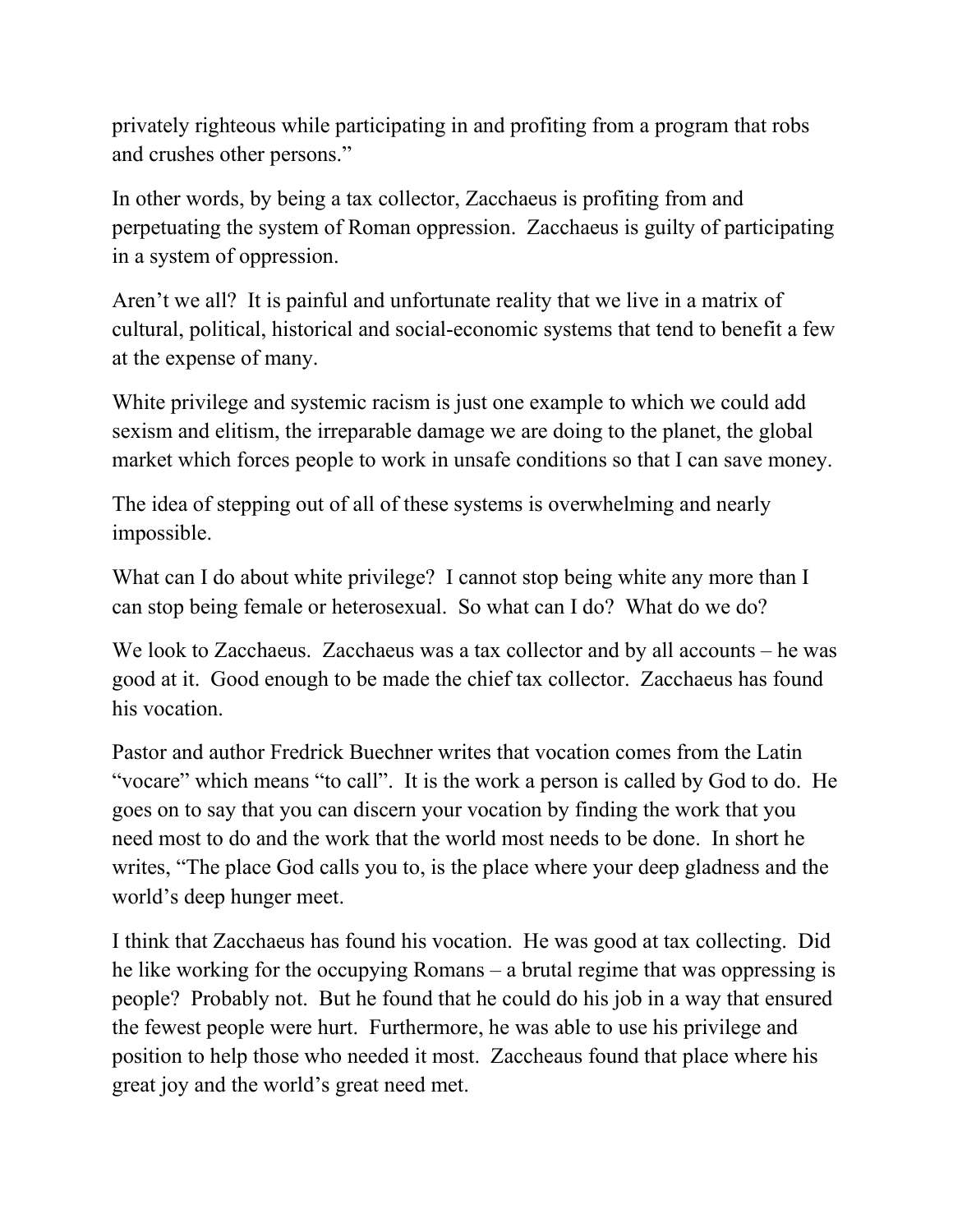privately righteous while participating in and profiting from a program that robs and crushes other persons."

In other words, by being a tax collector, Zacchaeus is profiting from and perpetuating the system of Roman oppression. Zacchaeus is guilty of participating in a system of oppression.

Aren't we all? It is painful and unfortunate reality that we live in a matrix of cultural, political, historical and social-economic systems that tend to benefit a few at the expense of many.

White privilege and systemic racism is just one example to which we could add sexism and elitism, the irreparable damage we are doing to the planet, the global market which forces people to work in unsafe conditions so that I can save money.

The idea of stepping out of all of these systems is overwhelming and nearly impossible.

What can I do about white privilege? I cannot stop being white any more than I can stop being female or heterosexual. So what can I do? What do we do?

We look to Zacchaeus. Zacchaeus was a tax collector and by all accounts – he was good at it. Good enough to be made the chief tax collector. Zacchaeus has found his vocation.

Pastor and author Fredrick Buechner writes that vocation comes from the Latin "vocare" which means "to call". It is the work a person is called by God to do. He goes on to say that you can discern your vocation by finding the work that you need most to do and the work that the world most needs to be done. In short he writes, "The place God calls you to, is the place where your deep gladness and the world's deep hunger meet.

I think that Zacchaeus has found his vocation. He was good at tax collecting. Did he like working for the occupying Romans – a brutal regime that was oppressing is people? Probably not. But he found that he could do his job in a way that ensured the fewest people were hurt. Furthermore, he was able to use his privilege and position to help those who needed it most. Zaccheaus found that place where his great joy and the world's great need met.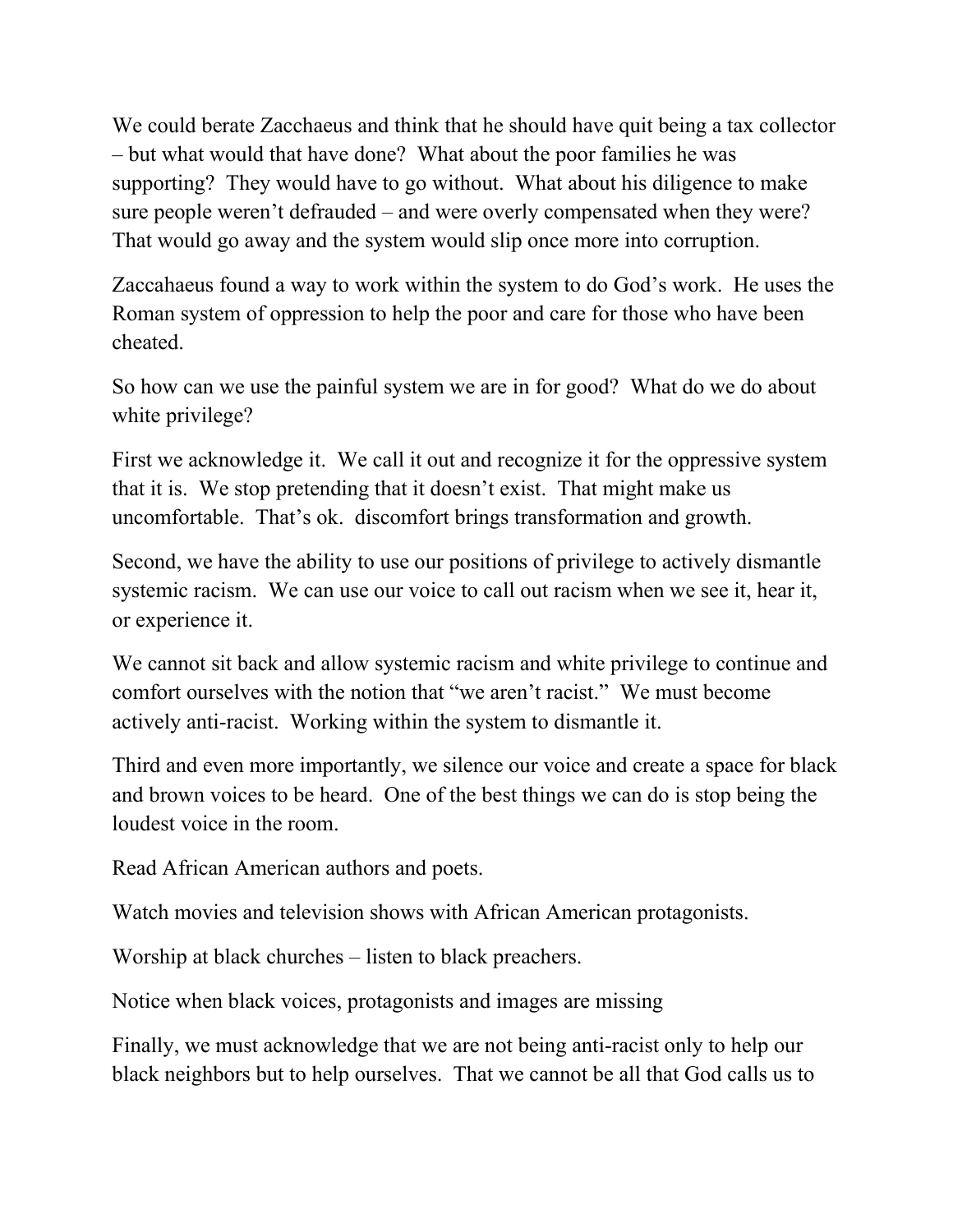We could berate Zacchaeus and think that he should have quit being a tax collector – but what would that have done? What about the poor families he was supporting? They would have to go without. What about his diligence to make sure people weren't defrauded – and were overly compensated when they were? That would go away and the system would slip once more into corruption.

Zaccahaeus found a way to work within the system to do God's work. He uses the Roman system of oppression to help the poor and care for those who have been cheated.

So how can we use the painful system we are in for good? What do we do about white privilege?

First we acknowledge it. We call it out and recognize it for the oppressive system that it is. We stop pretending that it doesn't exist. That might make us uncomfortable. That's ok. discomfort brings transformation and growth.

Second, we have the ability to use our positions of privilege to actively dismantle systemic racism. We can use our voice to call out racism when we see it, hear it, or experience it.

We cannot sit back and allow systemic racism and white privilege to continue and comfort ourselves with the notion that "we aren't racist." We must become actively anti-racist. Working within the system to dismantle it.

Third and even more importantly, we silence our voice and create a space for black and brown voices to be heard. One of the best things we can do is stop being the loudest voice in the room.

Read African American authors and poets.

Watch movies and television shows with African American protagonists.

Worship at black churches – listen to black preachers.

Notice when black voices, protagonists and images are missing

Finally, we must acknowledge that we are not being anti-racist only to help our black neighbors but to help ourselves. That we cannot be all that God calls us to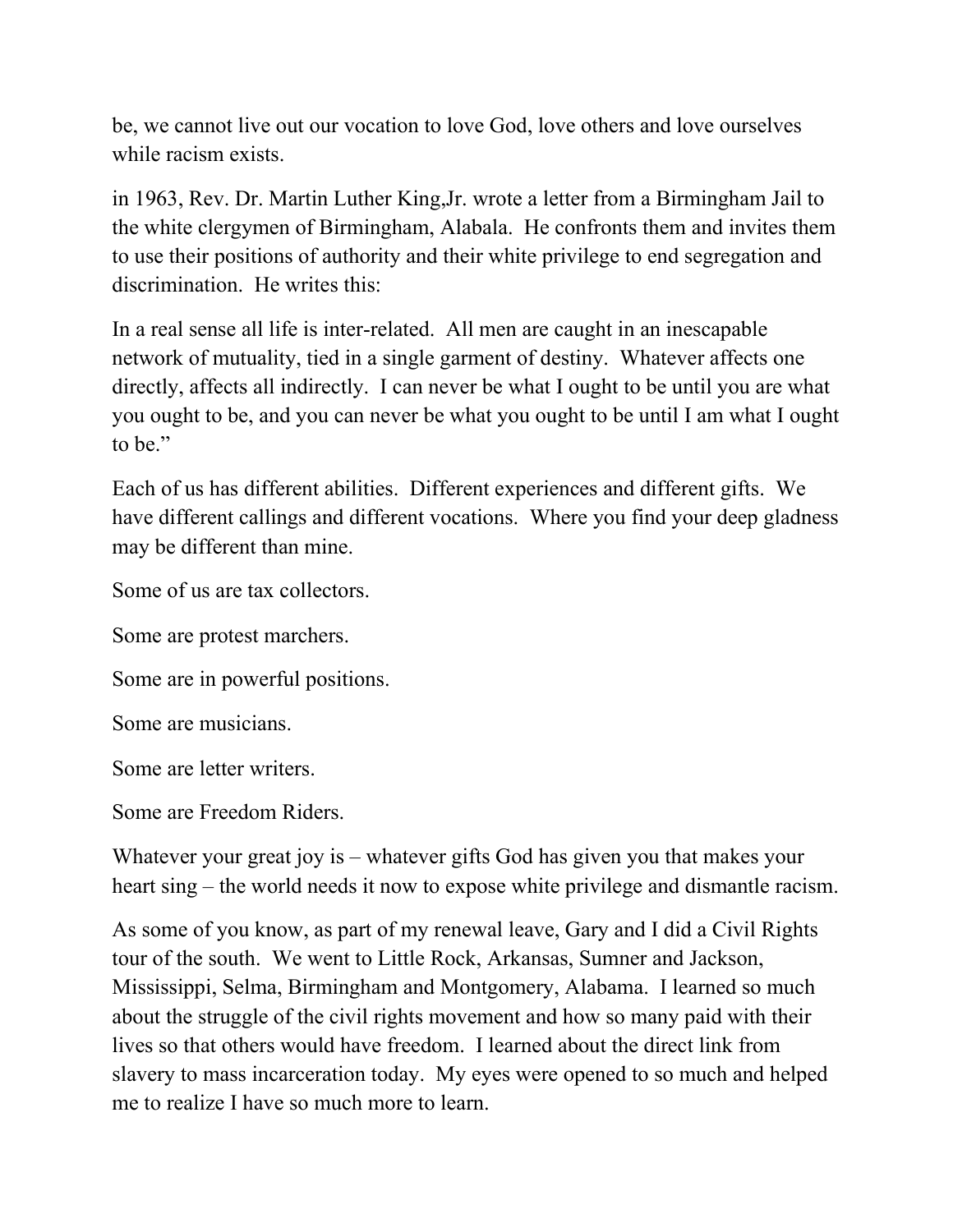be, we cannot live out our vocation to love God, love others and love ourselves while racism exists.

in 1963, Rev. Dr. Martin Luther King,Jr. wrote a letter from a Birmingham Jail to the white clergymen of Birmingham, Alabala. He confronts them and invites them to use their positions of authority and their white privilege to end segregation and discrimination. He writes this:

In a real sense all life is inter-related. All men are caught in an inescapable network of mutuality, tied in a single garment of destiny. Whatever affects one directly, affects all indirectly. I can never be what I ought to be until you are what you ought to be, and you can never be what you ought to be until I am what I ought to be."

Each of us has different abilities. Different experiences and different gifts. We have different callings and different vocations. Where you find your deep gladness may be different than mine.

Some of us are tax collectors.

Some are protest marchers.

Some are in powerful positions.

Some are musicians.

Some are letter writers.

Some are Freedom Riders.

Whatever your great joy is – whatever gifts God has given you that makes your heart sing – the world needs it now to expose white privilege and dismantle racism.

As some of you know, as part of my renewal leave, Gary and I did a Civil Rights tour of the south. We went to Little Rock, Arkansas, Sumner and Jackson, Mississippi, Selma, Birmingham and Montgomery, Alabama. I learned so much about the struggle of the civil rights movement and how so many paid with their lives so that others would have freedom. I learned about the direct link from slavery to mass incarceration today. My eyes were opened to so much and helped me to realize I have so much more to learn.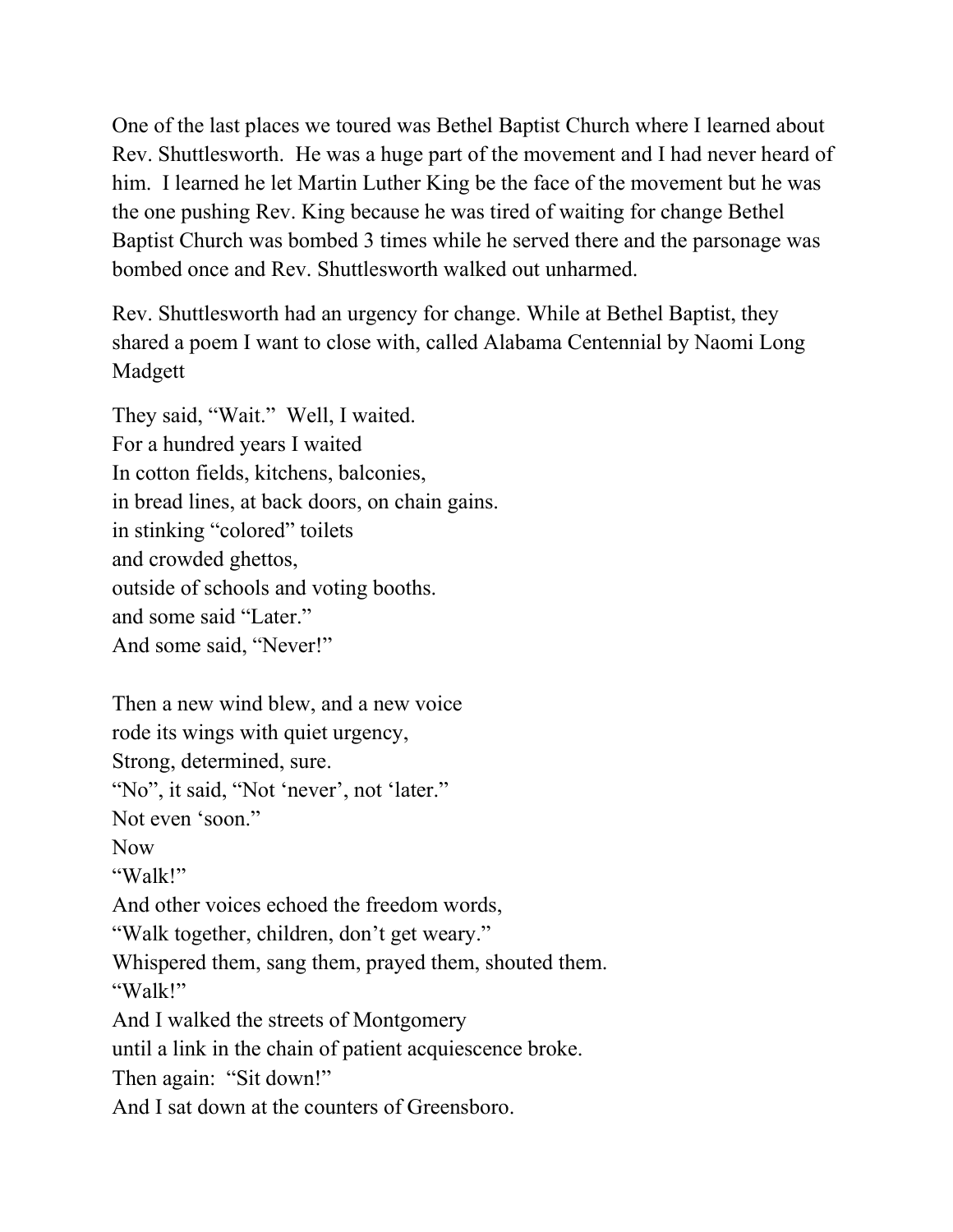One of the last places we toured was Bethel Baptist Church where I learned about Rev. Shuttlesworth. He was a huge part of the movement and I had never heard of him. I learned he let Martin Luther King be the face of the movement but he was the one pushing Rev. King because he was tired of waiting for change Bethel Baptist Church was bombed 3 times while he served there and the parsonage was bombed once and Rev. Shuttlesworth walked out unharmed.

Rev. Shuttlesworth had an urgency for change. While at Bethel Baptist, they shared a poem I want to close with, called Alabama Centennial by Naomi Long Madgett

They said, "Wait." Well, I waited. For a hundred years I waited In cotton fields, kitchens, balconies, in bread lines, at back doors, on chain gains. in stinking "colored" toilets and crowded ghettos, outside of schools and voting booths. and some said "Later." And some said, "Never!"

Then a new wind blew, and a new voice rode its wings with quiet urgency, Strong, determined, sure. "No", it said, "Not 'never', not 'later." Not even 'soon." Now "Walk!" And other voices echoed the freedom words, "Walk together, children, don't get weary." Whispered them, sang them, prayed them, shouted them. "Walk!" And I walked the streets of Montgomery until a link in the chain of patient acquiescence broke. Then again: "Sit down!" And I sat down at the counters of Greensboro.